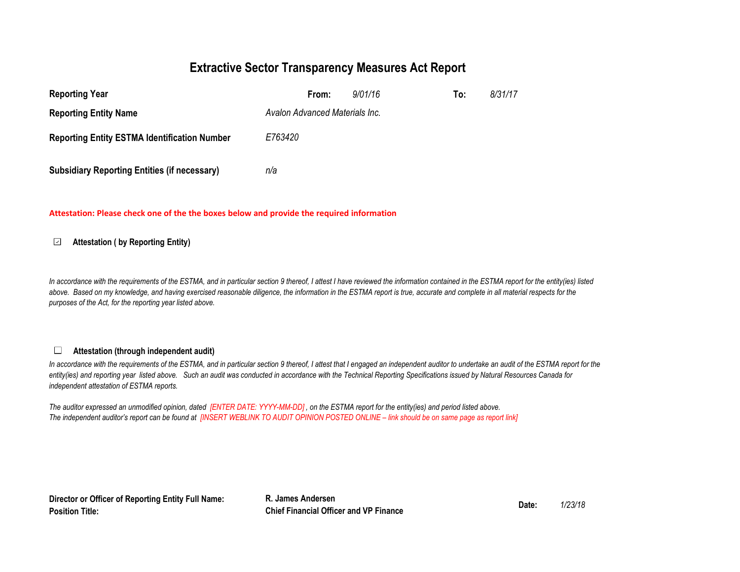### **Extractive Sector Transparency Measures Act Report**

| <b>Reporting Year</b>                               | 9/01/16<br>From:               | To: | 8/31/17 |
|-----------------------------------------------------|--------------------------------|-----|---------|
| <b>Reporting Entity Name</b>                        | Avalon Advanced Materials Inc. |     |         |
| <b>Reporting Entity ESTMA Identification Number</b> | E763420                        |     |         |
| <b>Subsidiary Reporting Entities (if necessary)</b> | n/a                            |     |         |

### **Attestation: Please check one of the the boxes below and provide the required information**

#### **Attestation ( by Reporting Entity)** ⊡

In accordance with the requirements of the ESTMA, and in particular section 9 thereof, I attest I have reviewed the information contained in the ESTMA report for the entity(ies) listed above. Based on my knowledge, and having exercised reasonable diligence, the information in the ESTMA report is true, accurate and complete in all material respects for the *purposes of the Act, for the reporting year listed above.* 

#### **Attestation (through independent audit)** $\Box$

In accordance with the requirements of the ESTMA, and in particular section 9 thereof, I attest that I engaged an independent auditor to undertake an audit of the ESTMA report for the *entity(ies) and reporting year listed above. Such an audit was conducted in accordance with the Technical Reporting Specifications issued by Natural Resources Canada for independent attestation of ESTMA reports.* 

*The auditor expressed an unmodified opinion, dated [ENTER DATE: YYYY-MM-DD] , on the ESTMA report for the entity(ies) and period listed above. The independent auditor's report can be found at [INSERT WEBLINK TO AUDIT OPINION POSTED ONLINE – link should be on same page as report link]* 

**Director or Officer of Reporting Entity Full Name: Position Title:**

**R. James Andersen**<br> **Chief Financial Officer and VP Finance**<br> **Date:**  $\frac{1}{23/18}$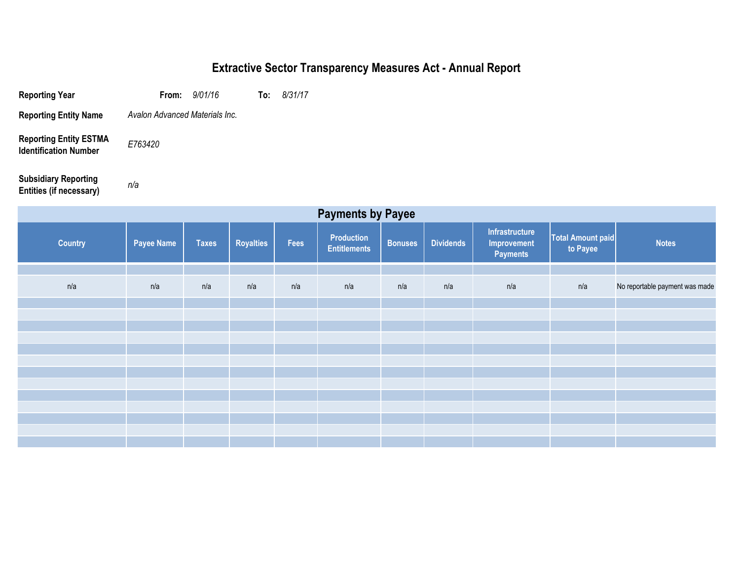# **Extractive Sector Transparency Measures Act - Annual Report**

| <b>Reporting Year</b>                                         | From: $9/01/16$                | To: | 8/31/17 |
|---------------------------------------------------------------|--------------------------------|-----|---------|
| <b>Reporting Entity Name</b>                                  | Avalon Advanced Materials Inc. |     |         |
| <b>Reporting Entity ESTMA</b><br><b>Identification Number</b> | E763420                        |     |         |

*n/a*

**Subsidiary Reporting Entities (if necessary)**

| <b>Payments by Payee</b> |                   |              |                  |      |                                   |                |                  |                                                  |                                      |                                |
|--------------------------|-------------------|--------------|------------------|------|-----------------------------------|----------------|------------------|--------------------------------------------------|--------------------------------------|--------------------------------|
| <b>Country</b>           | <b>Payee Name</b> | <b>Taxes</b> | <b>Royalties</b> | Fees | Production<br><b>Entitlements</b> | <b>Bonuses</b> | <b>Dividends</b> | <b>Infrastructure</b><br>Improvement<br>Payments | <b>Total Amount paid</b><br>to Payee | <b>Notes</b>                   |
|                          |                   |              |                  |      |                                   |                |                  |                                                  |                                      |                                |
| n/a                      | n/a               | n/a          | n/a              | n/a  | n/a                               | n/a            | n/a              | n/a                                              | n/a                                  | No reportable payment was made |
|                          |                   |              |                  |      |                                   |                |                  |                                                  |                                      |                                |
|                          |                   |              |                  |      |                                   |                |                  |                                                  |                                      |                                |
|                          |                   |              |                  |      |                                   |                |                  |                                                  |                                      |                                |
|                          |                   |              |                  |      |                                   |                |                  |                                                  |                                      |                                |
|                          |                   |              |                  |      |                                   |                |                  |                                                  |                                      |                                |
|                          |                   |              |                  |      |                                   |                |                  |                                                  |                                      |                                |
|                          |                   |              |                  |      |                                   |                |                  |                                                  |                                      |                                |
|                          |                   |              |                  |      |                                   |                |                  |                                                  |                                      |                                |
|                          |                   |              |                  |      |                                   |                |                  |                                                  |                                      |                                |
|                          |                   |              |                  |      |                                   |                |                  |                                                  |                                      |                                |
|                          |                   |              |                  |      |                                   |                |                  |                                                  |                                      |                                |
|                          |                   |              |                  |      |                                   |                |                  |                                                  |                                      |                                |
|                          |                   |              |                  |      |                                   |                |                  |                                                  |                                      |                                |